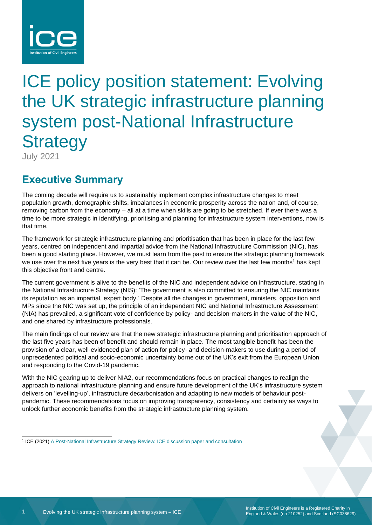

# ICE policy position statement: Evolving the UK strategic infrastructure planning system post-National Infrastructure **Strategy**

July 2021

# **Executive Summary**

The coming decade will require us to sustainably implement complex infrastructure changes to meet population growth, demographic shifts, imbalances in economic prosperity across the nation and, of course, removing carbon from the economy – all at a time when skills are going to be stretched. If ever there was a time to be more strategic in identifying, prioritising and planning for infrastructure system interventions, now is that time.

The framework for strategic infrastructure planning and prioritisation that has been in place for the last few years, centred on independent and impartial advice from the National Infrastructure Commission (NIC), has been a good starting place. However, we must learn from the past to ensure the strategic planning framework we use over the next five years is the very best that it can be. Our review over the last few months<sup>1</sup> has kept this objective front and centre.

The current government is alive to the benefits of the NIC and independent advice on infrastructure, stating in the National Infrastructure Strategy (NIS): 'The government is also committed to ensuring the NIC maintains its reputation as an impartial, expert body.' Despite all the changes in government, ministers, opposition and MPs since the NIC was set up, the principle of an independent NIC and National Infrastructure Assessment (NIA) has prevailed, a significant vote of confidence by policy- and decision-makers in the value of the NIC, and one shared by infrastructure professionals.

The main findings of our review are that the new strategic infrastructure planning and prioritisation approach of the last five years has been of benefit and should remain in place. The most tangible benefit has been the provision of a clear, well-evidenced plan of action for policy- and decision-makers to use during a period of unprecedented political and socio-economic uncertainty borne out of the UK's exit from the European Union and responding to the Covid-19 pandemic.

With the NIC gearing up to deliver NIA2, our recommendations focus on practical changes to realign the approach to national infrastructure planning and ensure future development of the UK's infrastructure system delivers on 'levelling-up', infrastructure decarbonisation and adapting to new models of behaviour postpandemic. These recommendations focus on improving transparency, consistency and certainty as ways to unlock further economic benefits from the strategic infrastructure planning system.

<sup>1</sup> ICE (2021[\) A Post-National Infrastructure Strategy Review: ICE discussion paper and consultation](https://www.ice.org.uk/news-and-insight/policy/post-national-infra-strategy-review-consultation)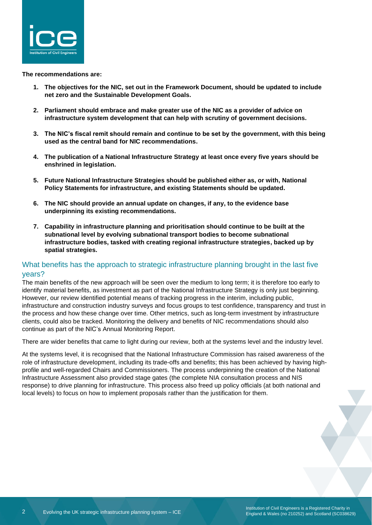

**The recommendations are:**

- **1. The objectives for the NIC, set out in the Framework Document, should be updated to include net zero and the Sustainable Development Goals.**
- **2. Parliament should embrace and make greater use of the NIC as a provider of advice on infrastructure system development that can help with scrutiny of government decisions.**
- **3. The NIC's fiscal remit should remain and continue to be set by the government, with this being used as the central band for NIC recommendations.**
- **4. The publication of a National Infrastructure Strategy at least once every five years should be enshrined in legislation.**
- **5. Future National Infrastructure Strategies should be published either as, or with, National Policy Statements for infrastructure, and existing Statements should be updated.**
- **6. The NIC should provide an annual update on changes, if any, to the evidence base underpinning its existing recommendations.**
- **7. Capability in infrastructure planning and prioritisation should continue to be built at the subnational level by evolving subnational transport bodies to become subnational infrastructure bodies, tasked with creating regional infrastructure strategies, backed up by spatial strategies.**

## What benefits has the approach to strategic infrastructure planning brought in the last five years?

The main benefits of the new approach will be seen over the medium to long term; it is therefore too early to identify material benefits, as investment as part of the National Infrastructure Strategy is only just beginning. However, our review identified potential means of tracking progress in the interim, including public, infrastructure and construction industry surveys and focus groups to test confidence, transparency and trust in the process and how these change over time. Other metrics, such as long-term investment by infrastructure clients, could also be tracked. Monitoring the delivery and benefits of NIC recommendations should also continue as part of the NIC's Annual Monitoring Report.

There are wider benefits that came to light during our review, both at the systems level and the industry level.

At the systems level, it is recognised that the National Infrastructure Commission has raised awareness of the role of infrastructure development, including its trade-offs and benefits; this has been achieved by having highprofile and well-regarded Chairs and Commissioners. The process underpinning the creation of the National Infrastructure Assessment also provided stage gates (the complete NIA consultation process and NIS response) to drive planning for infrastructure. This process also freed up policy officials (at both national and local levels) to focus on how to implement proposals rather than the justification for them.

Institution of Civil Engineers is a Registered Charity in England & Wales (no 210252) and Scotland (SC038629)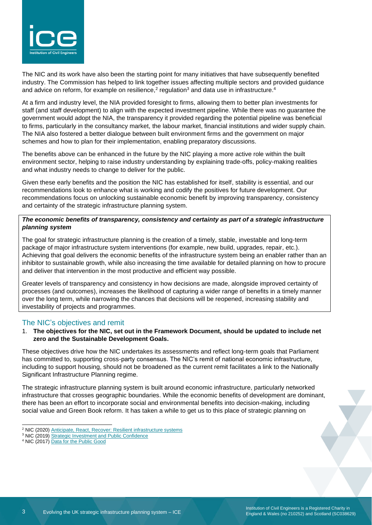

The NIC and its work have also been the starting point for many initiatives that have subsequently benefited industry. The Commission has helped to link together issues affecting multiple sectors and provided guidance and advice on reform, for example on resilience,<sup>2</sup> regulation<sup>3</sup> and data use in infrastructure.<sup>4</sup>

At a firm and industry level, the NIA provided foresight to firms, allowing them to better plan investments for staff (and staff development) to align with the expected investment pipeline. While there was no guarantee the government would adopt the NIA, the transparency it provided regarding the potential pipeline was beneficial to firms, particularly in the consultancy market, the labour market, financial institutions and wider supply chain. The NIA also fostered a better dialogue between built environment firms and the government on major schemes and how to plan for their implementation, enabling preparatory discussions.

The benefits above can be enhanced in the future by the NIC playing a more active role within the built environment sector, helping to raise industry understanding by explaining trade-offs, policy-making realities and what industry needs to change to deliver for the public.

Given these early benefits and the position the NIC has established for itself, stability is essential, and our recommendations look to enhance what is working and codify the positives for future development. Our recommendations focus on unlocking sustainable economic benefit by improving transparency, consistency and certainty of the strategic infrastructure planning system.

#### *The economic benefits of transparency, consistency and certainty as part of a strategic infrastructure planning system*

The goal for strategic infrastructure planning is the creation of a timely, stable, investable and long-term package of major infrastructure system interventions (for example, new build, upgrades, repair, etc.). Achieving that goal delivers the economic benefits of the infrastructure system being an enabler rather than an inhibitor to sustainable growth, while also increasing the time available for detailed planning on how to procure and deliver that intervention in the most productive and efficient way possible.

Greater levels of transparency and consistency in how decisions are made, alongside improved certainty of processes (and outcomes), increases the likelihood of capturing a wider range of benefits in a timely manner over the long term, while narrowing the chances that decisions will be reopened, increasing stability and investability of projects and programmes.

### The NIC's objectives and remit

1. **The objectives for the NIC, set out in the Framework Document, should be updated to include net zero and the Sustainable Development Goals.** 

These objectives drive how the NIC undertakes its assessments and reflect long-term goals that Parliament has committed to, supporting cross-party consensus. The NIC's remit of national economic infrastructure, including to support housing, should not be broadened as the current remit facilitates a link to the Nationally Significant Infrastructure Planning regime.

The strategic infrastructure planning system is built around economic infrastructure, particularly networked infrastructure that crosses geographic boundaries. While the economic benefits of development are dominant, there has been an effort to incorporate social and environmental benefits into decision-making, including social value and Green Book reform. It has taken a while to get us to this place of strategic planning on

Institution of Civil Engineers is a Registered Charity in England & Wales (no 210252) and Scotland (SC038629)

<sup>&</sup>lt;sup>2</sup> NIC (2020) Anticipate, React, Recover: [Resilient infrastructure systems](https://nic.org.uk/app/uploads/Anticipate-React-Recover-28-May-2020.pdf)

<sup>&</sup>lt;sup>3</sup> NIC (2019) [Strategic Investment and Public Confidence](https://nic.org.uk/app/uploads/NIC-Strategic-Investment-Public-Confidence-October-2019.pdf)

<sup>4</sup> NIC (2017) [Data for the Public Good](https://nic.org.uk/app/uploads/Data-for-the-Public-Good-NIC-Report.pdf)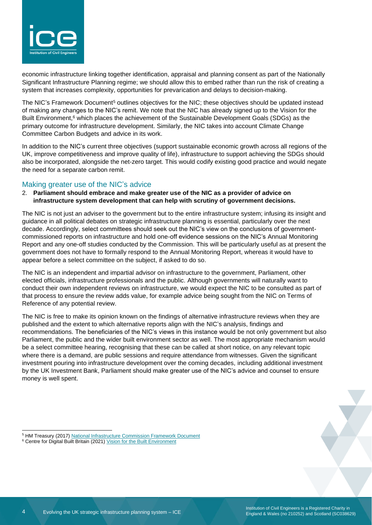

economic infrastructure linking together identification, appraisal and planning consent as part of the Nationally Significant Infrastructure Planning regime; we should allow this to embed rather than run the risk of creating a system that increases complexity, opportunities for prevarication and delays to decision-making.

The NIC's Framework Document<sup>5</sup> outlines objectives for the NIC; these objectives should be updated instead of making any changes to the NIC's remit. We note that the NIC has already signed up to the Vision for the Built Environment, <sup>6</sup> which places the achievement of the Sustainable Development Goals (SDGs) as the primary outcome for infrastructure development. Similarly, the NIC takes into account Climate Change Committee Carbon Budgets and advice in its work.

In addition to the NIC's current three objectives (support sustainable economic growth across all regions of the UK, improve competitiveness and improve quality of life), infrastructure to support achieving the SDGs should also be incorporated, alongside the net-zero target. This would codify existing good practice and would negate the need for a separate carbon remit.

#### Making greater use of the NIC's advice

#### 2. **Parliament should embrace and make greater use of the NIC as a provider of advice on infrastructure system development that can help with scrutiny of government decisions.**

The NIC is not just an adviser to the government but to the entire infrastructure system; infusing its insight and guidance in all political debates on strategic infrastructure planning is essential, particularly over the next decade. Accordingly, select committees should seek out the NIC's view on the conclusions of governmentcommissioned reports on infrastructure and hold one-off evidence sessions on the NIC's Annual Monitoring Report and any one-off studies conducted by the Commission. This will be particularly useful as at present the government does not have to formally respond to the Annual Monitoring Report, whereas it would have to appear before a select committee on the subject, if asked to do so.

The NIC is an independent and impartial advisor on infrastructure to the government, Parliament, other elected officials, infrastructure professionals and the public. Although governments will naturally want to conduct their own independent reviews on infrastructure, we would expect the NIC to be consulted as part of that process to ensure the review adds value, for example advice being sought from the NIC on Terms of Reference of any potential review.

The NIC is free to make its opinion known on the findings of alternative infrastructure reviews when they are published and the extent to which alternative reports align with the NIC's analysis, findings and recommendations. The beneficiaries of the NIC's views in this instance would be not only government but also Parliament, the public and the wider built environment sector as well. The most appropriate mechanism would be a select committee hearing, recognising that these can be called at short notice, on any relevant topic where there is a demand, are public sessions and require attendance from witnesses. Given the significant investment pouring into infrastructure development over the coming decades, including additional investment by the UK Investment Bank, Parliament should make greater use of the NIC's advice and counsel to ensure money is well spent.

<sup>5</sup> HM Treasury (2017) [National Infrastructure Commission Framework Document](https://www.gov.uk/government/publications/national-infrastructure-commission-framework-document)

<sup>&</sup>lt;sup>6</sup> Centre for Digital Built Britain (2021[\) Vision for the Built Environment](https://www.cdbb.cam.ac.uk/news/industry-unites-behind-vision-built-environment)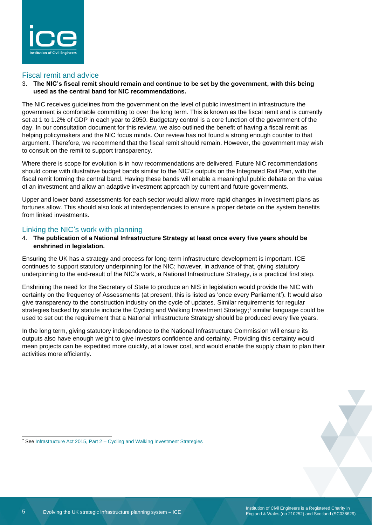

#### Fiscal remit and advice

3. **The NIC's fiscal remit should remain and continue to be set by the government, with this being used as the central band for NIC recommendations.**

The NIC receives guidelines from the government on the level of public investment in infrastructure the government is comfortable committing to over the long term. This is known as the fiscal remit and is currently set at 1 to 1.2% of GDP in each year to 2050. Budgetary control is a core function of the government of the day. In our consultation document for this review, we also outlined the benefit of having a fiscal remit as helping policymakers and the NIC focus minds. Our review has not found a strong enough counter to that argument. Therefore, we recommend that the fiscal remit should remain. However, the government may wish to consult on the remit to support transparency.

Where there is scope for evolution is in how recommendations are delivered. Future NIC recommendations should come with illustrative budget bands similar to the NIC's outputs on the Integrated Rail Plan, with the fiscal remit forming the central band. Having these bands will enable a meaningful public debate on the value of an investment and allow an adaptive investment approach by current and future governments.

Upper and lower band assessments for each sector would allow more rapid changes in investment plans as fortunes allow. This should also look at interdependencies to ensure a proper debate on the system benefits from linked investments.

#### Linking the NIC's work with planning

4. **The publication of a National Infrastructure Strategy at least once every five years should be enshrined in legislation.**

Ensuring the UK has a strategy and process for long-term infrastructure development is important. ICE continues to support statutory underpinning for the NIC; however, in advance of that, giving statutory underpinning to the end-result of the NIC's work, a National Infrastructure Strategy, is a practical first step.

Enshrining the need for the Secretary of State to produce an NIS in legislation would provide the NIC with certainty on the frequency of Assessments (at present, this is listed as 'once every Parliament'). It would also give transparency to the construction industry on the cycle of updates. Similar requirements for regular strategies backed by statute include the Cycling and Walking Investment Strategy; <sup>7</sup> similar language could be used to set out the requirement that a National Infrastructure Strategy should be produced every five years.

In the long term, giving statutory independence to the National Infrastructure Commission will ensure its outputs also have enough weight to give investors confidence and certainty. Providing this certainty would mean projects can be expedited more quickly, at a lower cost, and would enable the supply chain to plan their activities more efficiently.

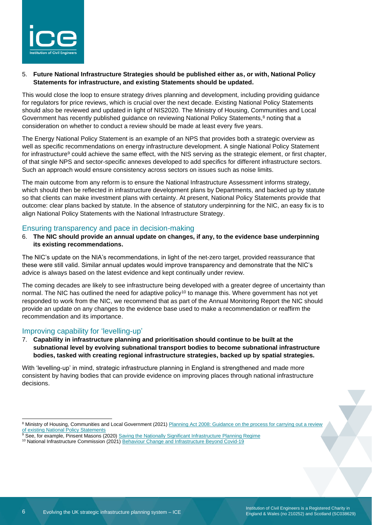

#### 5. **Future National Infrastructure Strategies should be published either as, or with, National Policy Statements for infrastructure, and existing Statements should be updated.**

This would close the loop to ensure strategy drives planning and development, including providing guidance for regulators for price reviews, which is crucial over the next decade. Existing National Policy Statements should also be reviewed and updated in light of NIS2020. The Ministry of Housing, Communities and Local Government has recently published guidance on reviewing National Policy Statements,<sup>8</sup> noting that a consideration on whether to conduct a review should be made at least every five years.

The Energy National Policy Statement is an example of an NPS that provides both a strategic overview as well as specific recommendations on energy infrastructure development. A single National Policy Statement for infrastructure<sup>9</sup> could achieve the same effect, with the NIS serving as the strategic element, or first chapter, of that single NPS and sector-specific annexes developed to add specifics for different infrastructure sectors. Such an approach would ensure consistency across sectors on issues such as noise limits.

The main outcome from any reform is to ensure the National Infrastructure Assessment informs strategy, which should then be reflected in infrastructure development plans by Departments, and backed up by statute so that clients can make investment plans with certainty. At present, National Policy Statements provide that outcome: clear plans backed by statute. In the absence of statutory underpinning for the NIC, an easy fix is to align National Policy Statements with the National Infrastructure Strategy.

#### Ensuring transparency and pace in decision-making

6. **The NIC should provide an annual update on changes, if any, to the evidence base underpinning its existing recommendations.** 

The NIC's update on the NIA's recommendations, in light of the net-zero target, provided reassurance that these were still valid. Similar annual updates would improve transparency and demonstrate that the NIC's advice is always based on the latest evidence and kept continually under review.

The coming decades are likely to see infrastructure being developed with a greater degree of uncertainty than normal. The NIC has outlined the need for adaptive policy<sup>10</sup> to manage this. Where government has not yet responded to work from the NIC, we recommend that as part of the Annual Monitoring Report the NIC should provide an update on any changes to the evidence base used to make a recommendation or reaffirm the recommendation and its importance.

#### Improving capability for 'levelling-up'

7. **Capability in infrastructure planning and prioritisation should continue to be built at the subnational level by evolving subnational transport bodies to become subnational infrastructure bodies, tasked with creating regional infrastructure strategies, backed up by spatial strategies.** 

With 'levelling-up' in mind, strategic infrastructure planning in England is strengthened and made more consistent by having bodies that can provide evidence on improving places through national infrastructure decisions.

<sup>9</sup> See, for example, Pinsent Masons (2020) [Saving the Nationally Significant Infrastructure Planning Regime](https://www.pinsentmasons.com/out-law/analysis/saving-nationally-significant-infrastructure-planning)

<sup>&</sup>lt;sup>8</sup> Ministry of Housing, Communities and Local Government (2021) Planning Act 2008: Guidance on the process for carrying out a review [of existing National Policy Statements](https://www.gov.uk/guidance/planning-act-2008-guidance-on-the-process-for-carrying-out-a-review-of-existing-national-policy-statements)